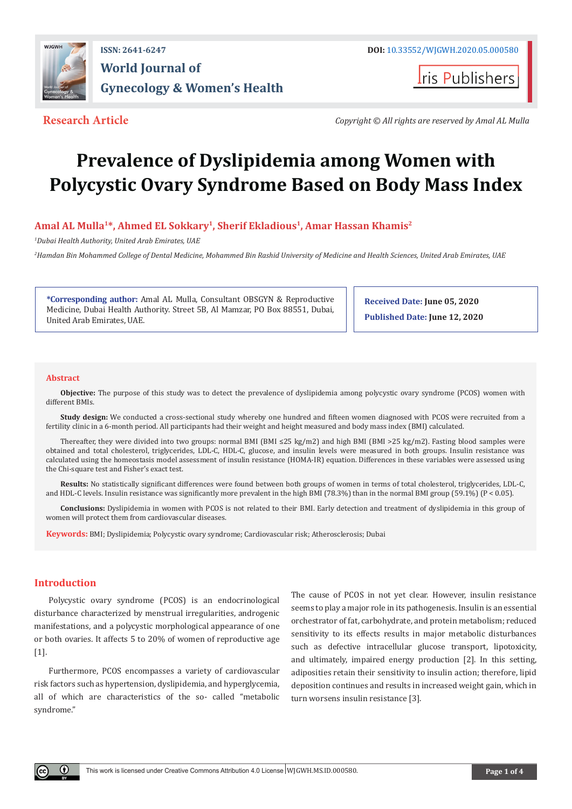

## **ISSN: 2641-6247 DOI:** [10.33552/WJGWH.2020.05.000580](http://dx.doi.org/10.33552/WJGWH.2020.05.000580) **World Journal of Gynecology & Women's Health**

**Iris Publishers** 

**Research Article** *Copyright © All rights are reserved by Amal AL Mulla*

# **Prevalence of Dyslipidemia among Women with Polycystic Ovary Syndrome Based on Body Mass Index**

### Amal AL Mulla<sup>1\*</sup>, Ahmed EL Sokkary<sup>1</sup>, Sherif Ekladious<sup>1</sup>, Amar Hassan Khamis<sup>2</sup>

*1 Dubai Health Authority, United Arab Emirates, UAE*

*2 Hamdan Bin Mohammed College of Dental Medicine, Mohammed Bin Rashid University of Medicine and Health Sciences, United Arab Emirates, UAE*

**\*Corresponding author:** Amal AL Mulla, Consultant OBSGYN & Reproductive Medicine, Dubai Health Authority. Street 5B, Al Mamzar, PO Box 88551, Dubai, United Arab Emirates, UAE.

**Received Date: June 05, 2020 Published Date: June 12, 2020**

#### **Abstract**

**Objective:** The purpose of this study was to detect the prevalence of dyslipidemia among polycystic ovary syndrome (PCOS) women with different BMIs.

**Study design:** We conducted a cross-sectional study whereby one hundred and fifteen women diagnosed with PCOS were recruited from a fertility clinic in a 6-month period. All participants had their weight and height measured and body mass index (BMI) calculated.

Thereafter, they were divided into two groups: normal BMI (BMI ≤25 kg/m2) and high BMI (BMI >25 kg/m2). Fasting blood samples were obtained and total cholesterol, triglycerides, LDL-C, HDL-C, glucose, and insulin levels were measured in both groups. Insulin resistance was calculated using the homeostasis model assessment of insulin resistance (HOMA-IR) equation. Differences in these variables were assessed using the Chi-square test and Fisher's exact test.

**Results:** No statistically significant differences were found between both groups of women in terms of total cholesterol, triglycerides, LDL-C, and HDL-C levels. Insulin resistance was significantly more prevalent in the high BMI (78.3%) than in the normal BMI group (59.1%) (P < 0.05).

**Conclusions:** Dyslipidemia in women with PCOS is not related to their BMI. Early detection and treatment of dyslipidemia in this group of women will protect them from cardiovascular diseases.

**Keywords:** BMI; Dyslipidemia; Polycystic ovary syndrome; Cardiovascular risk; Atherosclerosis; Dubai

#### **Introduction**

Polycystic ovary syndrome (PCOS) is an endocrinological disturbance characterized by menstrual irregularities, androgenic manifestations, and a polycystic morphological appearance of one or both ovaries. It affects 5 to 20% of women of reproductive age [1].

Furthermore, PCOS encompasses a variety of cardiovascular risk factors such as hypertension, dyslipidemia, and hyperglycemia, all of which are characteristics of the so- called "metabolic syndrome."

The cause of PCOS in not yet clear. However, insulin resistance seems to play a major role in its pathogenesis. Insulin is an essential orchestrator of fat, carbohydrate, and protein metabolism; reduced sensitivity to its effects results in major metabolic disturbances such as defective intracellular glucose transport, lipotoxicity, and ultimately, impaired energy production [2]. In this setting, adiposities retain their sensitivity to insulin action; therefore, lipid deposition continues and results in increased weight gain, which in turn worsens insulin resistance [3].

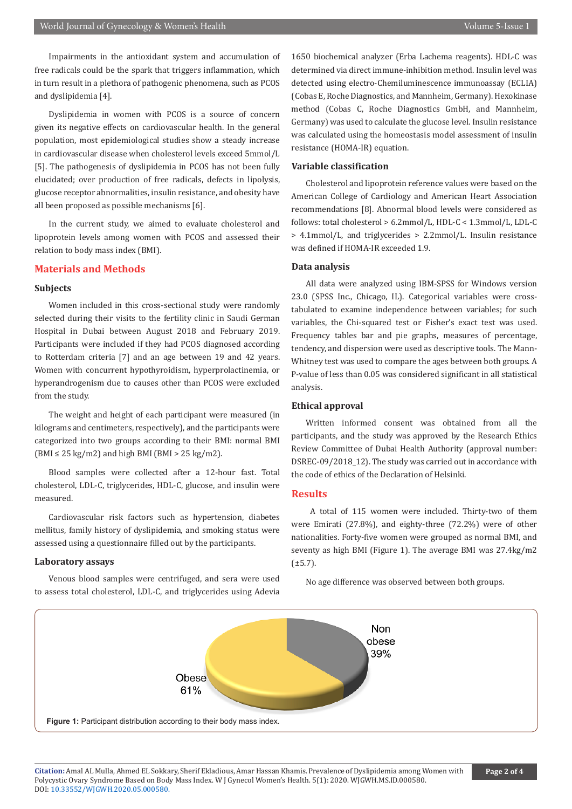Impairments in the antioxidant system and accumulation of free radicals could be the spark that triggers inflammation, which in turn result in a plethora of pathogenic phenomena, such as PCOS and dyslipidemia [4].

Dyslipidemia in women with PCOS is a source of concern given its negative effects on cardiovascular health. In the general population, most epidemiological studies show a steady increase in cardiovascular disease when cholesterol levels exceed 5mmol/L [5]. The pathogenesis of dyslipidemia in PCOS has not been fully elucidated; over production of free radicals, defects in lipolysis, glucose receptor abnormalities, insulin resistance, and obesity have all been proposed as possible mechanisms [6].

In the current study, we aimed to evaluate cholesterol and lipoprotein levels among women with PCOS and assessed their relation to body mass index (BMI).

#### **Materials and Methods**

#### **Subjects**

Women included in this cross-sectional study were randomly selected during their visits to the fertility clinic in Saudi German Hospital in Dubai between August 2018 and February 2019. Participants were included if they had PCOS diagnosed according to Rotterdam criteria [7] and an age between 19 and 42 years. Women with concurrent hypothyroidism, hyperprolactinemia, or hyperandrogenism due to causes other than PCOS were excluded from the study.

The weight and height of each participant were measured (in kilograms and centimeters, respectively), and the participants were categorized into two groups according to their BMI: normal BMI  $(BMI \leq 25 \text{ kg/m2})$  and high BMI  $(BMI > 25 \text{ kg/m2})$ .

Blood samples were collected after a 12-hour fast. Total cholesterol, LDL-C, triglycerides, HDL-C, glucose, and insulin were measured.

Cardiovascular risk factors such as hypertension, diabetes mellitus, family history of dyslipidemia, and smoking status were assessed using a questionnaire filled out by the participants.

#### **Laboratory assays**

Venous blood samples were centrifuged, and sera were used to assess total cholesterol, LDL-C, and triglycerides using Adevia 1650 biochemical analyzer (Erba Lachema reagents). HDL-C was determined via direct immune-inhibition method. Insulin level was detected using electro-Chemiluminescence immunoassay (ECLIA) (Cobas E, Roche Diagnostics, and Mannheim, Germany). Hexokinase method (Cobas C, Roche Diagnostics GmbH, and Mannheim, Germany) was used to calculate the glucose level. Insulin resistance was calculated using the homeostasis model assessment of insulin resistance (HOMA-IR) equation.

#### **Variable classification**

Cholesterol and lipoprotein reference values were based on the American College of Cardiology and American Heart Association recommendations [8]. Abnormal blood levels were considered as follows: total cholesterol > 6.2mmol/L, HDL-C < 1.3mmol/L, LDL-C > 4.1mmol/L, and triglycerides > 2.2mmol/L. Insulin resistance was defined if HOMA-IR exceeded 1.9.

#### **Data analysis**

All data were analyzed using IBM-SPSS for Windows version 23.0 (SPSS Inc., Chicago, IL). Categorical variables were crosstabulated to examine independence between variables; for such variables, the Chi-squared test or Fisher's exact test was used. Frequency tables bar and pie graphs, measures of percentage, tendency, and dispersion were used as descriptive tools. The Mann-Whitney test was used to compare the ages between both groups. A P-value of less than 0.05 was considered significant in all statistical analysis.

#### **Ethical approval**

Written informed consent was obtained from all the participants, and the study was approved by the Research Ethics Review Committee of Dubai Health Authority (approval number: DSREC-09/2018 12). The study was carried out in accordance with the code of ethics of the Declaration of Helsinki.

#### **Results**

 A total of 115 women were included. Thirty-two of them were Emirati (27.8%), and eighty-three (72.2%) were of other nationalities. Forty-five women were grouped as normal BMI, and seventy as high BMI (Figure 1). The average BMI was 27.4kg/m2  $(\pm 5.7)$ .

No age difference was observed between both groups.



**Citation:** Amal AL Mulla, Ahmed EL Sokkary, Sherif Ekladious, Amar Hassan Khamis. Prevalence of Dyslipidemia among Women with Polycystic Ovary Syndrome Based on Body Mass Index. W J Gynecol Women's Health. 5(1): 2020. WJGWH.MS.ID.000580. DOI: [10.33552/WJGWH.2020.05.000580](http://dx.doi.org/10.33552/WJGWH.2020.05.000580).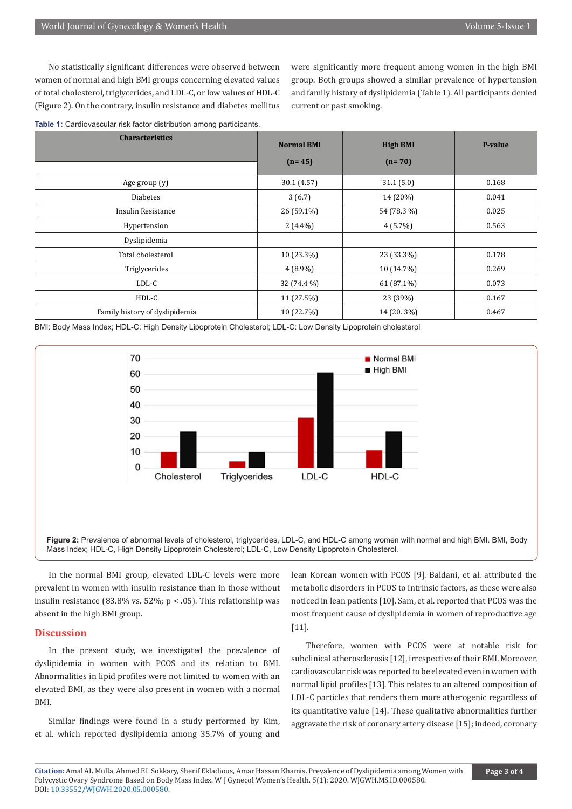No statistically significant differences were observed between women of normal and high BMI groups concerning elevated values of total cholesterol, triglycerides, and LDL-C, or low values of HDL-C (Figure 2). On the contrary, insulin resistance and diabetes mellitus

were significantly more frequent among women in the high BMI group. Both groups showed a similar prevalence of hypertension and family history of dyslipidemia (Table 1). All participants denied current or past smoking.

**Table 1:** Cardiovascular risk factor distribution among participants.

| <b>Characteristics</b>         | <b>Normal BMI</b> | <b>High BMI</b> | P-value |
|--------------------------------|-------------------|-----------------|---------|
|                                | $(n=45)$          | $(n=70)$        |         |
| Age group (y)                  | 30.1 (4.57)       | 31.1(5.0)       | 0.168   |
| <b>Diabetes</b>                | 3(6.7)            | 14 (20%)        | 0.041   |
| Insulin Resistance             | $26(59.1\%)$      | 54 (78.3 %)     | 0.025   |
| Hypertension                   | $2(4.4\%)$        | $4(5.7\%)$      | 0.563   |
| Dyslipidemia                   |                   |                 |         |
| Total cholesterol              | 10 (23.3%)        | 23 (33.3%)      | 0.178   |
| Triglycerides                  | $4(8.9\%)$        | 10 (14.7%)      | 0.269   |
| LDL-C                          | 32 (74.4 %)       | $61(87.1\%)$    | 0.073   |
| HDL-C                          | 11 (27.5%)        | 23 (39%)        | 0.167   |
| Family history of dyslipidemia | 10 (22.7%)        | 14 (20.3%)      | 0.467   |

BMI: Body Mass Index; HDL-C: High Density Lipoprotein Cholesterol; LDL-C: Low Density Lipoprotein cholesterol



Figure 2: Prevalence of abnormal levels of cholesterol, triglycerides, LDL-C, and HDL-C among women with normal and high BMI. BMI, Body Mass Index; HDL-C, High Density Lipoprotein Cholesterol; LDL-C, Low Density Lipoprotein Cholesterol.

In the normal BMI group, elevated LDL-C levels were more prevalent in women with insulin resistance than in those without insulin resistance (83.8% vs. 52%;  $p < .05$ ). This relationship was absent in the high BMI group.

#### **Discussion**

In the present study, we investigated the prevalence of dyslipidemia in women with PCOS and its relation to BMI. Abnormalities in lipid profiles were not limited to women with an elevated BMI, as they were also present in women with a normal BMI.

Similar findings were found in a study performed by Kim, et al. which reported dyslipidemia among 35.7% of young and lean Korean women with PCOS [9]. Baldani, et al. attributed the metabolic disorders in PCOS to intrinsic factors, as these were also noticed in lean patients [10]. Sam, et al. reported that PCOS was the most frequent cause of dyslipidemia in women of reproductive age [11].

Therefore, women with PCOS were at notable risk for subclinical atherosclerosis [12], irrespective of their BMI. Moreover, cardiovascular risk was reported to be elevated even in women with normal lipid profiles [13]. This relates to an altered composition of LDL-C particles that renders them more atherogenic regardless of its quantitative value [14]. These qualitative abnormalities further aggravate the risk of coronary artery disease [15]; indeed, coronary